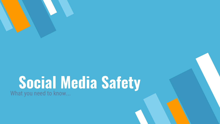## **Social Media Safety** What you need to know...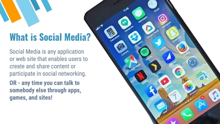# **What is Social Media?**

Social Media is any application or web site that enables users to create and share content or participate in social networking.

**OR - any time you can talk to somebody else through apps, games, and sites!**

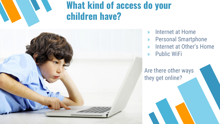## **What kind of access do your children have?**



- » Internet at Home
- » Personal Smartphone
- » Internet at Other's Home
- » Public WiFi

Are there other ways they get online?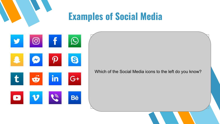## **Examples of Social Media**

|              | $\overline{\mathbf{o}}$ |        |
|--------------|-------------------------|--------|
|              |                         | S      |
| $\mathbf{t}$ |                         | G<br>٠ |
|              |                         | Bē     |

Which of the Social Media icons to the left do you know?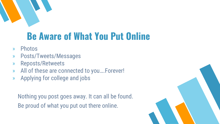

# **Be Aware of What You Put Online**

- » Photos
- » Posts/Tweets/Messages
- » Reposts/Retweets
- » All of these are connected to you….Forever!
- » Applying for college and jobs

Nothing you post goes away. It can all be found. Be proud of what you put out there online.

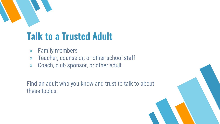

# **Talk to a Trusted Adult**

- » Family members
- » Teacher, counselor, or other school staff
- » Coach, club sponsor, or other adult

Find an adult who you know and trust to talk to about these topics.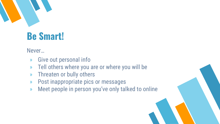

# **Be Smart!**

Never…

- » Give out personal info
- » Tell others where you are or where you will be
- » Threaten or bully others
- » Post inappropriate pics or messages
- » Meet people in person you've only talked to online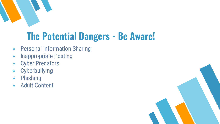

# **The Potential Dangers - Be Aware!**

- » Personal Information Sharing
- » Inappropriate Posting
- » Cyber Predators
- » Cyberbullying
- » Phishing
- » Adult Content

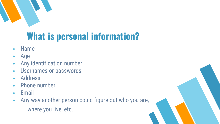

# **What is personal information?**

- » Name
- » Age
- » Any identification number
- » Usernames or passwords
- » Address
- » Phone number
- » Email
- » Any way another person could figure out who you are, where you live, etc.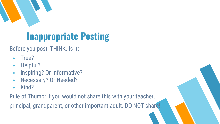

# **Inappropriate Posting**

Before you post, THINK. Is it:

- » True?
- » Helpful?
- » Inspiring? Or Informative?
- » Necessary? Or Needed?
- » Kind?

Rule of Thumb: If you would not share this with your teacher, principal, grandparent, or other important adult. DO NOT share!!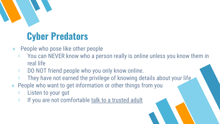

## **Cyber Predators**

- » People who pose like other people
	- ⋄ You can NEVER know who a person really is online unless you know them in real life
	- ⋄ DO NOT friend people who you only know online.
	- $\Diamond$  They have not earned the privilege of knowing details about your life.
- » People who want to get information or other things from you
	- ⋄ Listen to your gut
	- ⋄ If you are not comfortable talk to a trusted adult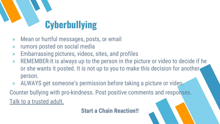# **Cyberbullying**

- » Mean or hurtful messages, posts, or email
- » rumors posted on social media
- » Embarrassing pictures, videos, sites, and profiles
- » REMEMBER-It is always up to the person in the picture or video to decide if he or she wants it posted. It is not up to you to make this decision for another person.
- » ALWAYS get someone's permission before taking a picture or video. Counter bullying with pro-kindness. Post positive comments and responses. Talk to a trusted adult.

**Start a Chain Reaction!!**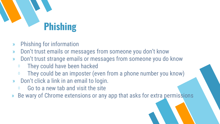

- » Phishing for information
- » Don't trust emails or messages from someone you don't know
- » Don't trust strange emails or messages from someone you do know
	- ⋄ They could have been hacked
	- $\Diamond$  They could be an imposter (even from a phone number you know)
- » Don't click a link in an email to login.
	- $\Diamond$  Go to a new tab and visit the site
- Be wary of Chrome extensions or any app that asks for extra permissions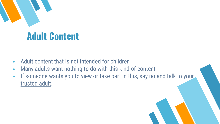

## **Adult Content**

- » Adult content that is not intended for children
- » Many adults want nothing to do with this kind of content
- » If someone wants you to view or take part in this, say no and talk to your trusted adult.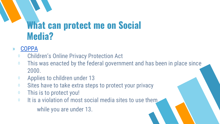## **What can protect me on Social Media?**

#### » [COPPA](https://www.ftc.gov/enforcement/rules/rulemaking-regulatory-reform-proceedings/childrens-online-privacy-protection-rule)

- ⋄ Children's Online Privacy Protection Act
- $\Diamond$  This was enacted by the federal government and has been in place since 2000.
- $\Diamond$  Applies to children under 13
- ⋄ Sites have to take extra steps to protect your privacy
- ⋄ This is to protect you!
- ⋄ It is a violation of most social media sites to use them while you are under 13.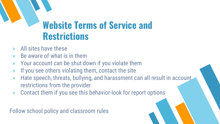## **Website Terms of Service and Restrictions**

- » All sites have these
- » Be aware of what is in them
- » Your account can be shut down if you violate them
- » If you see others violating them, contact the site
- » Hate speech, threats, bullying, and harassment can all result in account restrictions from the provider
- » Contact them if you see this behavior-look for report options

Follow school policy and classroom rules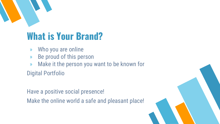

# **What is Your Brand?**

- » Who you are online
- » Be proud of this person
- » Make it the person you want to be known for

Digital Portfolio

Have a positive social presence! Make the online world a safe and pleasant place!

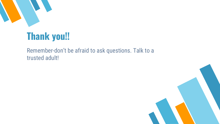

## **Thank you!!**

#### Remember-don't be afraid to ask questions. Talk to a trusted adult!

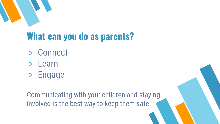

# **What can you do as parents?**

- » Connect
- » Learn
- » Engage

Communicating with your children and staying involved is the best way to keep them safe.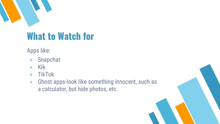

## **What to Watch for**

Apps like:

- » Snapchat
- » Kik
- » TikTok
- » Ghost apps-look like something innocent, such as a calculator, but hide photos, etc.

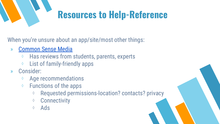# **Resources to Help-Reference**

When you're unsure about an app/site/most other things:

- » [Common Sense Media](https://www.commonsensemedia.org/)
	- ⋄ Has reviews from students, parents, experts
	- ⋄ List of family-friendly apps
- » Consider:
	- Age recommendations
	- ⋄ Functions of the apps
		- ⋄ Requested permissions-location? contacts? privacy
		- ⋄ Connectivity
		- $\Diamond$  Ads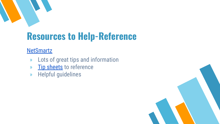

# **Resources to Help-Reference**

#### **[NetSmartz](https://www.netsmartz.org/home)**

- » Lots of great tips and information
- » [Tip sheets](https://www.netsmartz.org/TipSheets) to reference
- » Helpful guidelines

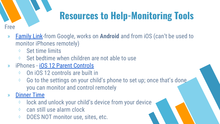# **Resources to Help-Monitoring Tools**

- » [Family Link](https://families.google.com/familylink/)-from Google, works on **Android** and from iOS (can't be used to monitor iPhones remotely)
	- ⋄ Set time limits
	- $\Diamond$  Set bedtime when children are not able to use
- » iPhones [iOS 12 Parent Controls](https://support.apple.com/en-us/HT201304)
	- ⋄ On iOS 12 controls are built in
	- $\diamond$  Go to the settings on your child's phone to set up; once that's done. you can monitor and control remotely
- » [Dinner Time](http://www.dinnertimeapp.com/)

Free

- ⋄ lock and unlock your child's device from your device
- $\diamond$  can still use alarm clock
- ⋄ DOES NOT monitor use, sites, etc.